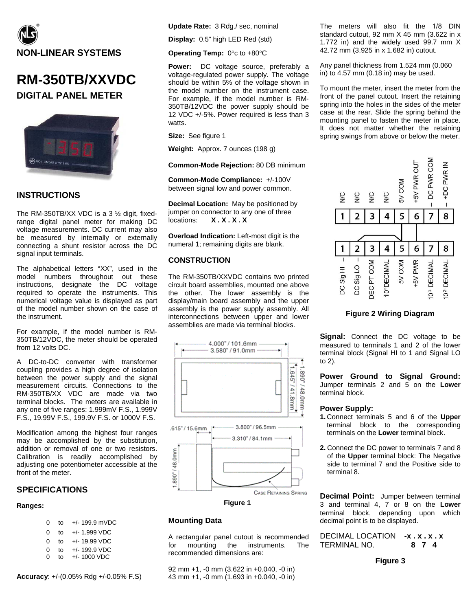

# **RM-350TB/XXVDC DIGITAL PANEL METER**



### **INSTRUCTIONS**

The RM-350TB/XX VDC is a 3 ½ digit, fixedrange digital panel meter for making DC voltage measurements. DC current may also be measured by internally or externally connecting a shunt resistor across the DC signal input terminals.

The alphabetical letters "XX", used in the model numbers throughout out these instructions, designate the DC voltage required to operate the instruments. This numerical voltage value is displayed as part of the model number shown on the case of the instrument.

For example, if the model number is RM-350TB/12VDC, the meter should be operated from 12 volts DC.

A DC-to-DC converter with transformer coupling provides a high degree of isolation between the power supply and the signal measurement circuits. Connections to the RM-350TB/XX VDC are made via two terminal blocks. The meters are available in any one of five ranges: 1.999mV F.S., 1.999V F.S., 19.99V F.S., 199.9V F.S. or 1000V F.S.

Modification among the highest four ranges may be accomplished by the substitution, addition or removal of one or two resistors. Calibration is readily accomplished by adjusting one potentiometer accessible at the front of the meter.

### **SPECIFICATIONS**

#### **Ranges:**

- 0 to +/- 199.9 mVDC
- 0 to +/- 1.999 VDC
- 0 to +/- 19.99 VDC
- 0 to  $+/- 199.9 \text{ VDC}$ <br>0 to  $+/- 1000 \text{ VDC}$ 
	- 0 to +/- 1000 VDC

**Accuracy**: +/-(0.05% Rdg +/-0.05% F.S)

**Update Rate:** 3 Rdg./ sec, nominal

**Display:** 0.5" high LED Red (std)

**Operating Temp:** 0°c to +80°C

**Power:** DC voltage source, preferably a voltage-regulated power supply. The voltage should be within 5% of the voltage shown in the model number on the instrument case. For example, if the model number is RM-350TB/12VDC the power supply should be 12 VDC +/-5%. Power required is less than 3 watts.

**Size:** See figure 1

**Weight:** Approx. 7 ounces (198 g)

**Common-Mode Rejection:** 80 DB minimum

**Common-Mode Compliance:** +/-100V between signal low and power common.

**Decimal Location:** May be positioned by jumper on connector to any one of three<br>locations:  $X \cdot X \cdot X$ locations: **X . X . X . X**

**Overload Indication:** Left-most digit is the numeral 1; remaining digits are blank.

### **CONSTRUCTION**

The RM-350TB/XXVDC contains two printed circuit board assemblies, mounted one above the other. The lower assembly is the display/main board assembly and the upper assembly is the power supply assembly. All interconnections between upper and lower assemblies are made via terminal blocks.



**Figure 1**

### **Mounting Data**

A rectangular panel cutout is recommended for mounting the instruments. The recommended dimensions are:

92 mm +1, -0 mm (3.622 in +0.040, -0 in) 43 mm +1, -0 mm (1.693 in +0.040, -0 in) The meters will also fit the 1/8 DIN standard cutout, 92 mm X 45 mm (3.622 in x 1.772 in) and the widely used 99.7 mm X 42.72 mm (3.925 in x 1.682 in) cutout.

Any panel thickness from 1.524 mm (0.060 in) to 4.57 mm (0.18 in) may be used.

To mount the meter, insert the meter from the front of the panel cutout. Insert the retaining spring into the holes in the sides of the meter case at the rear. Slide the spring behind the mounting panel to fasten the meter in place. It does not matter whether the retaining spring swings from above or below the meter.



#### **Figure 2 Wiring Diagram**

**Signal:** Connect the DC voltage to be measured to terminals 1 and 2 of the lower terminal block (Signal HI to 1 and Signal LO to 2).

**Power Ground to Signal Ground:** Jumper terminals 2 and 5 on the **Lower** terminal block.

#### **Power Supply:**

- **1.** Connect terminals 5 and 6 of the **Upper** terminal block to the corresponding terminals on the **Lower** terminal block.
- **2.** Connect the DC power to terminals 7 and 8 of the **Upper** terminal block: The Negative side to terminal 7 and the Positive side to terminal 8.

**Decimal Point:** Jumper between terminal 3 and terminal 4, 7 or 8 on the **Lower** terminal block, depending upon which decimal point is to be displayed.

DECIMAL LOCATION **-x . x . x . x** TERMINAL NO. **8 7 4**

**Figure 3**